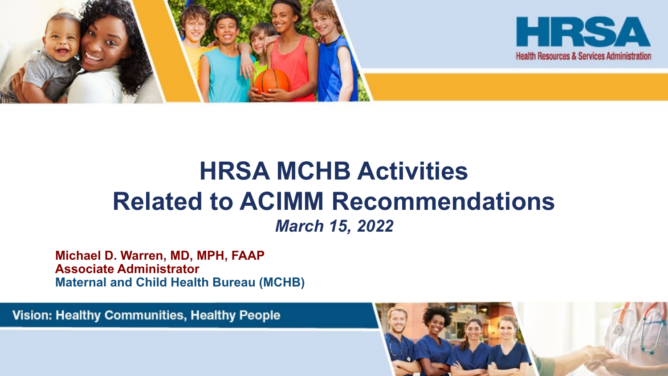

#### **HRSA MCHB Activities Related to ACIMM Recommendations**  *March 15, 2022*

**Michael D. Warren, MD, MPH, FAAP Associate Administrator Maternal and Child Health Bureau (MCHB)**

**Vision: Healthy Communities, Healthy People** 

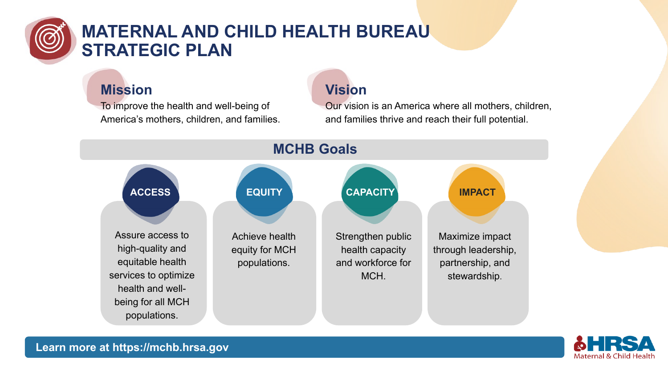

#### **MATERNAL AND CHILD HEALTH BUREAU STRATEGIC PLAN**

#### **Mission**

To improve the health and well-being of America's mothers, children, and families.

#### **Vision**

Our vision is an America where all mothers, children, and families thrive and reach their full potential.



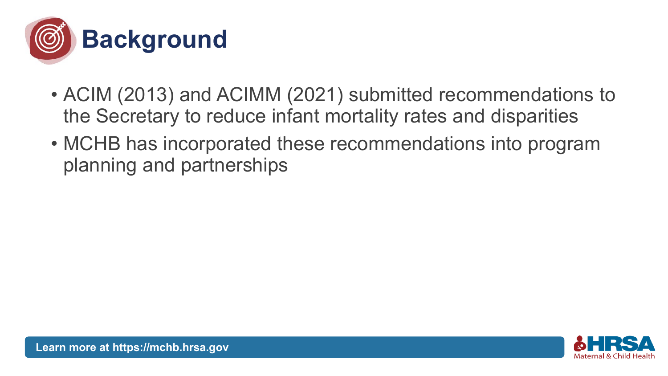

- ACIM (2013) and ACIMM (2021) submitted recommendations to the Secretary to reduce infant mortality rates and disparities
- MCHB has incorporated these recommendations into program planning and partnerships

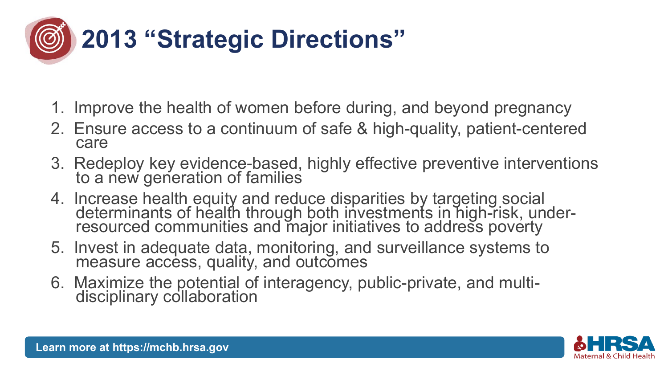

- 1. Improve the health of women before during, and beyond pregnancy
- 2. Ensure access to a continuum of safe & high-quality, patient-centered care
- 3. Redeploy key evidence-based, highly effective preventive interventions to a new generation of families
- 4. Increase health equity and reduce disparities by targeting social determinants of health through both investments in high-risk, under- resourced communities and major initiatives to address poverty
- 5. Invest in adequate data, monitoring, and surveillance systems to measure access, quality, and outcomes
- 6. Maximize the potential of interagency, public-private, and multi- disciplinary collaboration

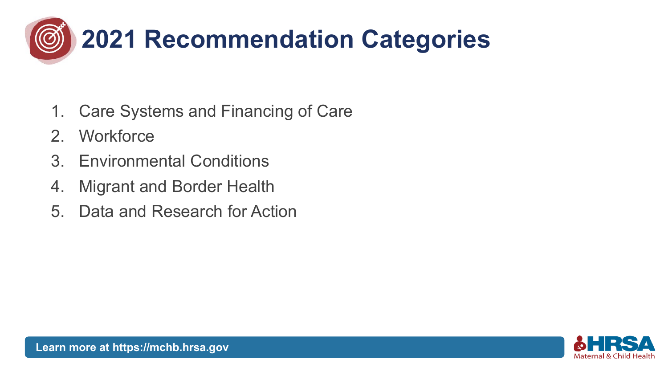

- 1. Care Systems and Financing of Care
- 2. Workforce
- 3. Environmental Conditions
- 4. Migrant and Border Health
- 5. Data and Research for Action

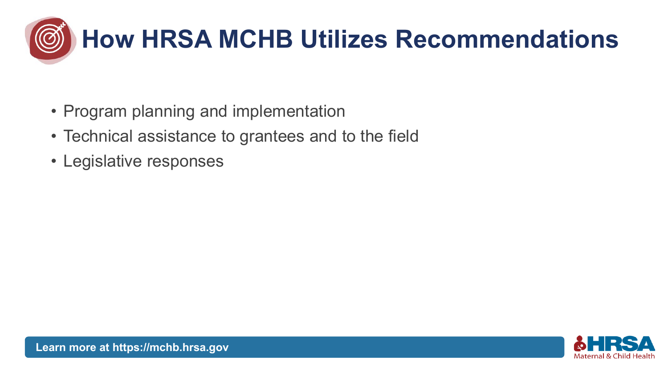

- Program planning and implementation
- Technical assistance to grantees and to the field
- Legislative responses

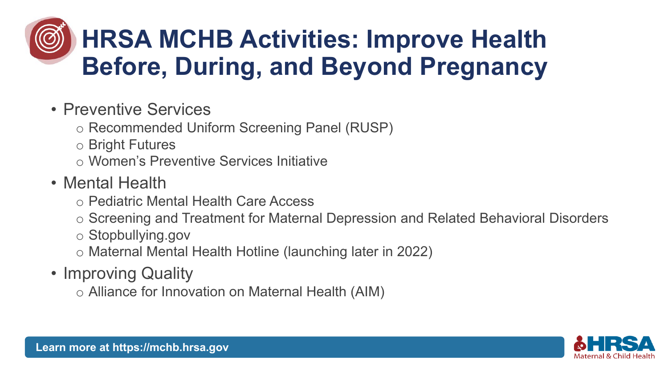### **HRSA MCHB Activities: Improve Health Before, During, and Beyond Pregnancy**

- Preventive Services
	- o Recommended Uniform Screening Panel (RUSP)
	- o Bright Futures
	- o Women's Preventive Services Initiative
- Mental Health
	- o Pediatric Mental Health Care Access
	- o Screening and Treatment for Maternal Depression and Related Behavioral Disorders
	- o Stopbullying.gov
	- o Maternal Mental Health Hotline (launching later in 2022)
- Improving Quality
	- o Alliance for Innovation on Maternal Health (AIM)

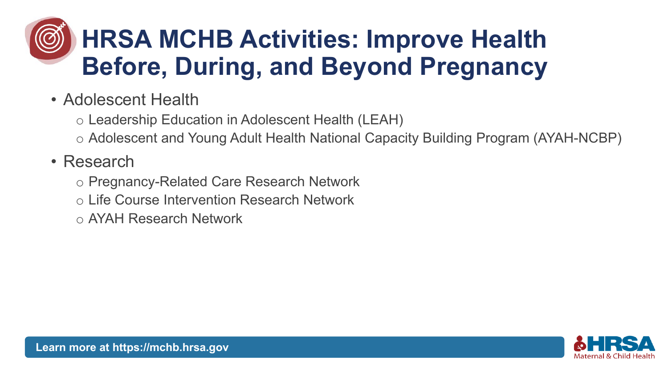### **HRSA MCHB Activities: Improve Health Before, During, and Beyond Pregnancy**

- Adolescent Health
	- o Leadership Education in Adolescent Health (LEAH)
	- o Adolescent and Young Adult Health National Capacity Building Program (AYAH-NCBP)

#### • Research

- o Pregnancy-Related Care Research Network
- o Life Course Intervention Research Network
- o AYAH Research Network

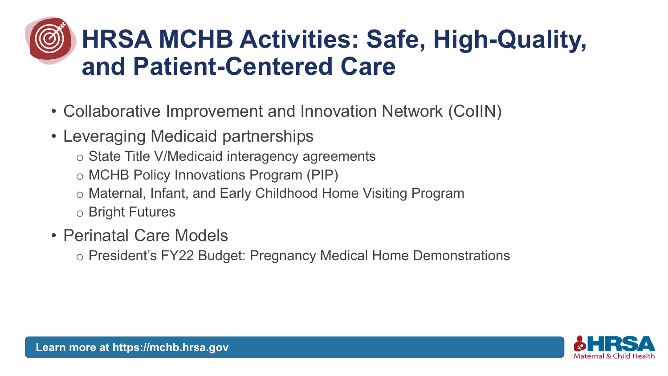### **HRSA MCHB Activities: Safe, High-Quality, and Patient-Centered Care**

- Collaborative Improvement and Innovation Network (CoIIN)
- Leveraging Medicaid partnerships
	- o State Title V/Medicaid interagency agreements
	- o MCHB Policy Innovations Program (PIP)
	- o Maternal, Infant, and Early Childhood Home Visiting Program
	- o Bright Futures
- Perinatal Care Models
	- o President's FY22 Budget: Pregnancy Medical Home Demonstrations

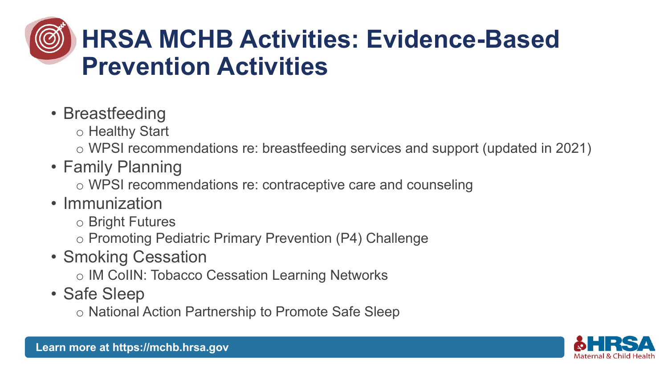### **HRSA MCHB Activities: Evidence-Based Prevention Activities**

- Breastfeeding
	- o Healthy Start
	- o WPSI recommendations re: breastfeeding services and support (updated in 2021)
- Family Planning
	- o WPSI recommendations re: contraceptive care and counseling
- Immunization
	- o Bright Futures
	- o Promoting Pediatric Primary Prevention (P4) Challenge
- Smoking Cessation
	- o IM CoIIN: Tobacco Cessation Learning Networks
- Safe Sleep
	- o National Action Partnership to Promote Safe Sleep

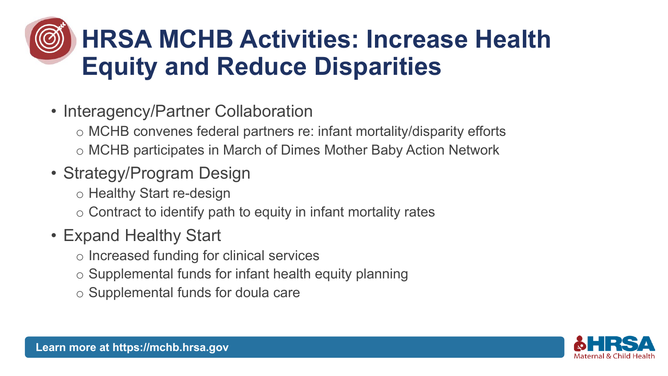### **HRSA MCHB Activities: Increase Health Equity and Reduce Disparities**

• Interagency/Partner Collaboration

o MCHB convenes federal partners re: infant mortality/disparity efforts o MCHB participates in March of Dimes Mother Baby Action Network

- Strategy/Program Design
	- o Healthy Start re-design
	- o Contract to identify path to equity in infant mortality rates
- Expand Healthy Start
	- o Increased funding for clinical services
	- o Supplemental funds for infant health equity planning
	- o Supplemental funds for doula care

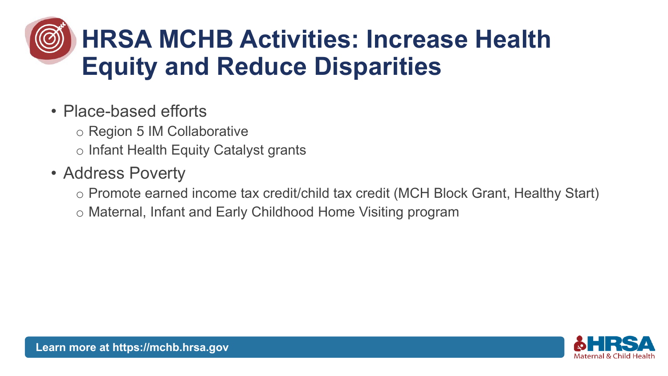### **HRSA MCHB Activities: Increase Health Equity and Reduce Disparities**

#### • Place-based efforts

o Region 5 IM Collaborative

o Infant Health Equity Catalyst grants

#### • Address Poverty

o Promote earned income tax credit/child tax credit (MCH Block Grant, Healthy Start)

o Maternal, Infant and Early Childhood Home Visiting program

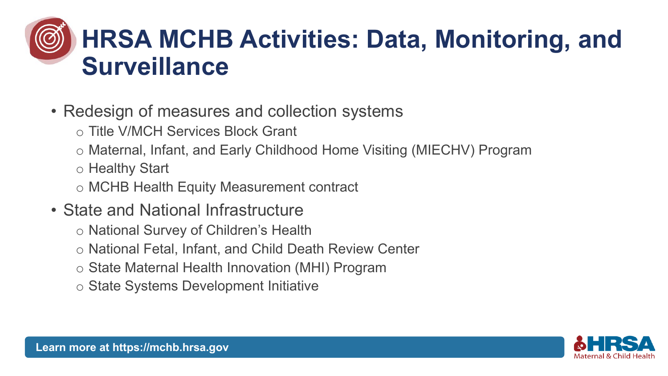### **HRSA MCHB Activities: Data, Monitoring, and Surveillance**

- Redesign of measures and collection systems
	- o Title V/MCH Services Block Grant
	- o Maternal, Infant, and Early Childhood Home Visiting (MIECHV) Program
	- o Healthy Start
	- o MCHB Health Equity Measurement contract
- State and National Infrastructure
	- o National Survey of Children's Health
	- o National Fetal, Infant, and Child Death Review Center
	- o State Maternal Health Innovation (MHI) Program
	- o State Systems Development Initiative

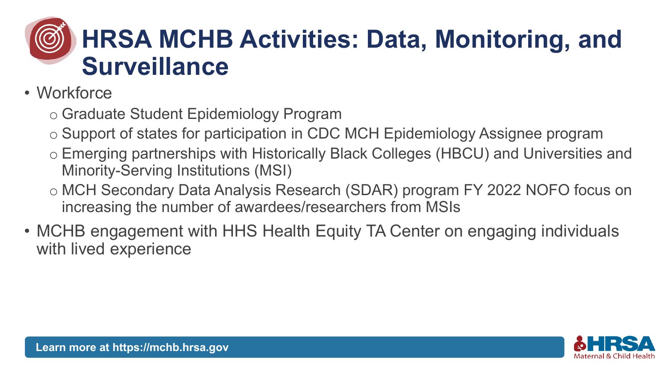### **HRSA MCHB Activities: Data, Monitoring, and Surveillance**

- Workforce
	- o Graduate Student Epidemiology Program
	- o Support of states for participation in CDC MCH Epidemiology Assignee program
	- o Emerging partnerships with Historically Black Colleges (HBCU) and Universities and Minority-Serving Institutions (MSI)
	- o MCH Secondary Data Analysis Research (SDAR) program FY 2022 NOFO focus on increasing the number of awardees/researchers from MSIs
- MCHB engagement with HHS Health Equity TA Center on engaging individuals with lived experience

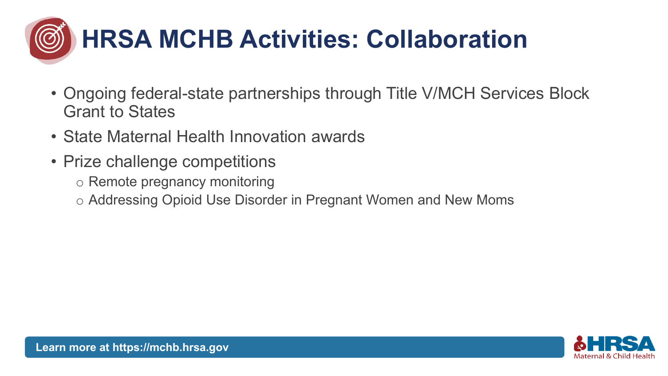

- Ongoing federal-state partnerships through Title V/MCH Services Block Grant to States
- State Maternal Health Innovation awards
- Prize challenge competitions
	- o Remote pregnancy monitoring
	- o Addressing Opioid Use Disorder in Pregnant Women and New Moms

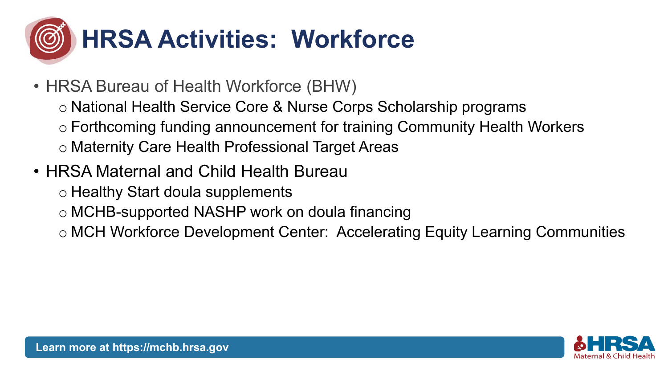

- HRSA Bureau of Health Workforce (BHW)
	- o National Health Service Core & Nurse Corps Scholarship programs
	- o Forthcoming funding announcement for training Community Health Workers
	- o Maternity Care Health Professional Target Areas
- HRSA Maternal and Child Health Bureau
	- o Healthy Start doula supplements
	- o MCHB-supported NASHP work on doula financing
	- o MCH Workforce Development Center: Accelerating Equity Learning Communities

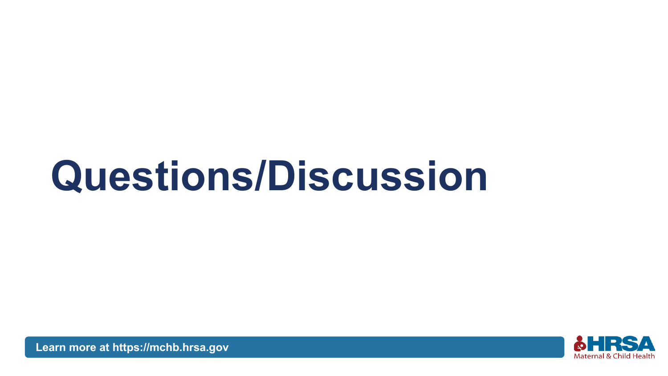# **Questions/Discussion**



**[Learn more at https://mchb.hrsa.gov](https://mchb.hrsa.gov/)**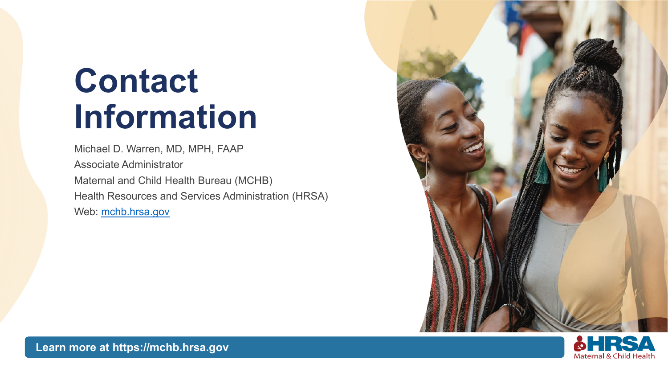# **Contact Information**

Michael D. Warren, MD, MPH, FAAP Associate Administrator Maternal and Child Health Bureau (MCHB) Health Resources and Services Administration (HRSA) Web: mchb.hrsa.gov